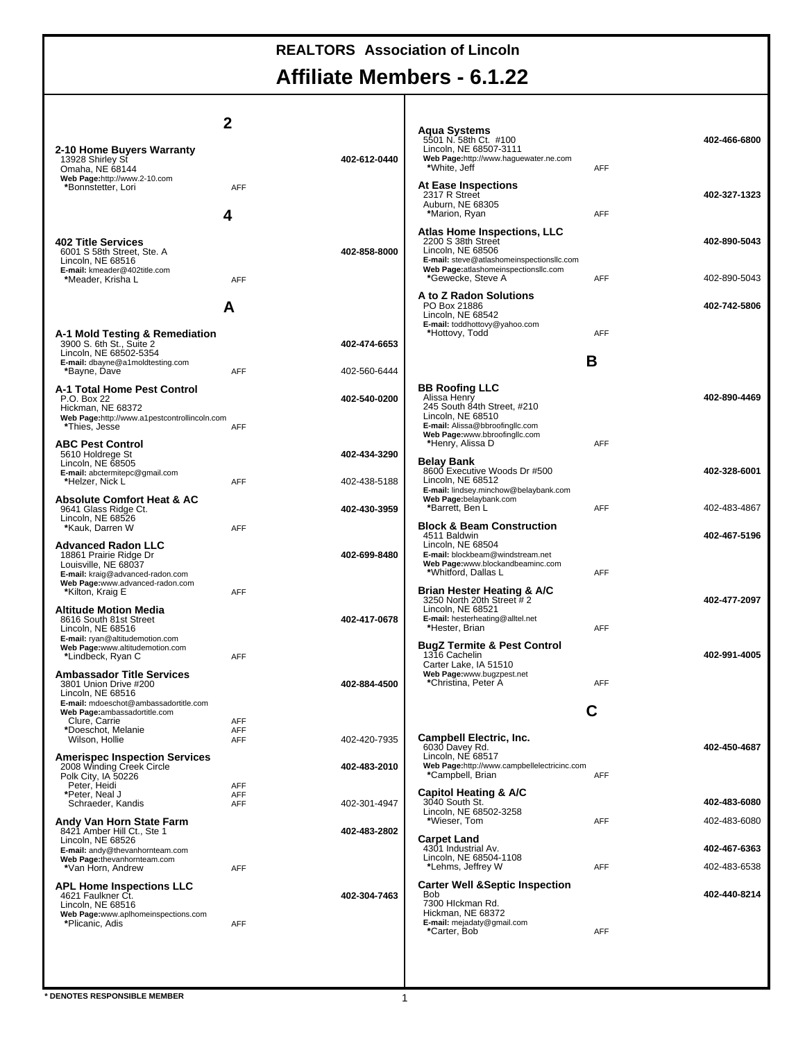# **Affiliate Members - 6.1.22**

|                                                                                                                                                                                           | 2                        |              |                                                                                                                                                                                                        |                 |              |
|-------------------------------------------------------------------------------------------------------------------------------------------------------------------------------------------|--------------------------|--------------|--------------------------------------------------------------------------------------------------------------------------------------------------------------------------------------------------------|-----------------|--------------|
| 2-10 Home Buyers Warranty<br>13928 Shirley St<br>Omaha, NE 68144                                                                                                                          |                          | 402-612-0440 | <b>Aqua Systems</b><br>5501 N.58th Ct. #100<br>Lincoln, NE 68507-3111<br>Web Page:http://www.haguewater.ne.com<br>*White, Jeff                                                                         | <b>AFF</b>      | 402-466-6800 |
| Web Page:http://www.2-10.com<br>*Bonnstetter, Lori                                                                                                                                        | <b>AFF</b><br>4          |              | <b>At Ease Inspections</b><br>2317 R Street<br>Auburn, NE 68305<br>*Marion, Ryan                                                                                                                       | <b>AFF</b>      | 402-327-1323 |
| <b>402 Title Services</b><br>6001 S 58th Street, Ste. A<br>Lincoln, NE 68516<br>E-mail: kmeader@402title.com                                                                              |                          | 402-858-8000 | <b>Atlas Home Inspections, LLC</b><br>2200 S 38th Street<br>Lincoln, NE 68506<br>E-mail: steve@atlashomeinspectionsllc.com<br>Web Page:atlashomeinspectionsllc.com                                     |                 | 402-890-5043 |
| *Meader, Krisha L                                                                                                                                                                         | <b>AFF</b>               |              | *Gewecke, Steve A<br>A to Z Radon Solutions                                                                                                                                                            | <b>AFF</b>      | 402-890-5043 |
|                                                                                                                                                                                           | А                        |              | PO Box 21886<br>Lincoln, NE 68542<br>E-mail: toddhottovy@yahoo.com                                                                                                                                     |                 | 402-742-5806 |
| A-1 Mold Testing & Remediation<br>3900 S. 6th St., Suite 2<br>Lincoln, NE 68502-5354                                                                                                      |                          | 402-474-6653 | *Hottovy, Todd                                                                                                                                                                                         | <b>AFF</b><br>B |              |
| E-mail: dbayne@a1moldtesting.com<br>*Bayne, Dave                                                                                                                                          | <b>AFF</b>               | 402-560-6444 |                                                                                                                                                                                                        |                 |              |
| A-1 Total Home Pest Control<br>P.O. Box 22<br>Hickman, NE 68372<br>Web Page:http://www.a1pestcontrollincoln.com<br>*Thies, Jesse                                                          | <b>AFF</b>               | 402-540-0200 | <b>BB Roofing LLC</b><br>Alissa Henry<br>245 South 84th Street, #210<br>Lincoln. NE 68510<br>E-mail: Alissa@bbroofingllc.com<br>Web Page:www.bbroofingllc.com                                          |                 | 402-890-4469 |
| <b>ABC Pest Control</b><br>5610 Holdrege St                                                                                                                                               |                          | 402-434-3290 | *Henry, Alissa D                                                                                                                                                                                       | <b>AFF</b>      |              |
| Lincoln. NE 68505<br>E-mail: abctermitepc@gmail.com<br>*Helzer, Nick L                                                                                                                    | <b>AFF</b>               | 402-438-5188 | <b>Belav Bank</b><br>8600 Executive Woods Dr #500<br>Lincoln, NE 68512<br>E-mail: lindsey.minchow@belaybank.com                                                                                        |                 | 402-328-6001 |
| <b>Absolute Comfort Heat &amp; AC</b><br>9641 Glass Ridge Ct.<br>Lincoln, NE 68526                                                                                                        |                          | 402-430-3959 | Web Page:belaybank.com<br>*Barrett, Ben L                                                                                                                                                              | <b>AFF</b>      | 402-483-4867 |
| *Kauk, Darren W<br><b>Advanced Radon LLC</b><br>18861 Prairie Ridge Dr<br>Louisville, NE 68037<br>E-mail: kraig@advanced-radon.com<br>Web Page:www.advanced-radon.com<br>*Kilton, Kraig E | <b>AFF</b><br>AFF        | 402-699-8480 | <b>Block &amp; Beam Construction</b><br>4511 Baldwin<br>Lincoln, NE 68504<br>E-mail: blockbeam@windstream.net<br>Web Page:www.blockandbeaminc.com<br>*Whitford, Dallas L<br>Brian Hester Heating & A/C | <b>AFF</b>      | 402-467-5196 |
| <b>Altitude Motion Media</b><br>8616 South 81st Street<br>Lincoln. NE 68516<br>E-mail: ryan@altitudemotion.com                                                                            |                          | 402-417-0678 | 3250 North 20th Street # 2<br>Lincoln, NE 68521<br>E-mail: hesterheating@alltel.net<br>*Hester, Brian                                                                                                  | <b>AFF</b>      | 402-477-2097 |
| Web Page:www.altitudemotion.com<br>*Lindbeck, Ryan C<br><b>Ambassador Title Services</b>                                                                                                  | AFF                      | 402-884-4500 | <b>BugZ Termite &amp; Pest Control</b><br>1316 Cachelin<br>Carter Lake, IA 51510<br>Web Page:www.bugzpest.net<br>*Christina, Peter A                                                                   | <b>AFF</b>      | 402-991-4005 |
| 3801 Union Drive #200<br>Lincoln, NE 68516<br>E-mail: mdoeschot@ambassadortitle.com                                                                                                       |                          |              |                                                                                                                                                                                                        |                 |              |
| Web Page:ambassadortitle.com<br>Clure, Carrie<br>*Doeschot, Melanie                                                                                                                       | <b>AFF</b><br><b>AFF</b> |              |                                                                                                                                                                                                        |                 |              |
| Wilson, Hollie<br><b>Amerispec Inspection Services</b>                                                                                                                                    | AFF                      | 402-420-7935 | <b>Campbell Electric, Inc.</b><br>6030 Davey Rd.<br>Lincoln, NE 68517                                                                                                                                  |                 | 402-450-4687 |
| 2008 Winding Creek Circle<br>Polk City, IA 50226<br>Peter, Heidi                                                                                                                          | <b>AFF</b>               | 402-483-2010 | Web Page:http://www.campbellelectricinc.com<br>*Campbell, Brian                                                                                                                                        | <b>AFF</b>      |              |
| *Peter, Neal J<br>Schraeder, Kandis                                                                                                                                                       | AFF<br><b>AFF</b>        | 402-301-4947 | Capitol Heating & A/C<br>3040 South St.                                                                                                                                                                |                 | 402-483-6080 |
| Andy Van Horn State Farm<br>8421 Amber Hill Ct., Ste 1                                                                                                                                    |                          | 402-483-2802 | Lincoln, NE 68502-3258<br>*Wieser, Tom                                                                                                                                                                 | <b>AFF</b>      | 402-483-6080 |
| Lincoln, NE 68526<br>E-mail: andy@thevanhornteam.com<br>Web Page:thevanhornteam.com                                                                                                       |                          |              | <b>Carpet Land</b><br>4301 Industrial Av.<br>Lincoln, NE 68504-1108                                                                                                                                    |                 | 402-467-6363 |
| *Van Horn, Andrew                                                                                                                                                                         | AFF                      |              | *Lehms, Jeffrey W                                                                                                                                                                                      | <b>AFF</b>      | 402-483-6538 |
| <b>APL Home Inspections LLC</b><br>4621 Faulkner Ct.<br>Lincoln, NE 68516<br>Web Page:www.aplhomeinspections.com<br>*Plicanic, Adis                                                       | AFF                      | 402-304-7463 | <b>Carter Well &amp; Septic Inspection</b><br>Bob<br>7300 Hlckman Rd.<br>Hickman, NE 68372<br>E-mail: mejadaty@gmail.com<br>*Carter, Bob                                                               | <b>AFF</b>      | 402-440-8214 |
|                                                                                                                                                                                           |                          |              |                                                                                                                                                                                                        |                 |              |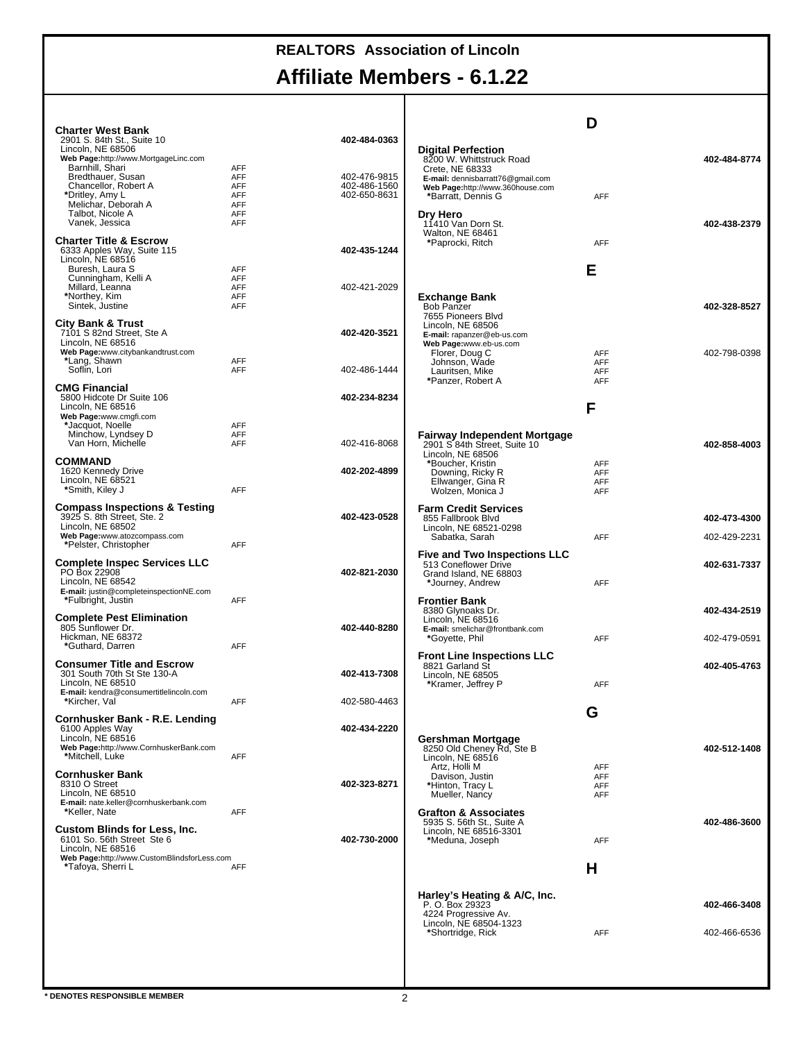# **Affiliate Members - 6.1.22**

| <b>Charter West Bank</b><br>2901 S. 84th St., Suite 10                                 |                          | 402-484-0363                 |                                                                 | D                                      |              |
|----------------------------------------------------------------------------------------|--------------------------|------------------------------|-----------------------------------------------------------------|----------------------------------------|--------------|
| Lincoln, NE 68506<br>Web Page:http://www.MortgageLinc.com                              |                          |                              | <b>Digital Perfection</b><br>8200 W. Whittstruck Road           |                                        | 402-484-8774 |
| Barnhill, Shari<br>Bredthauer, Susan                                                   | AFF<br><b>AFF</b>        | 402-476-9815                 | Crete, NE 68333<br>E-mail: dennisbarratt76@gmail.com            |                                        |              |
| Chancellor, Robert A<br>*Dritley, Amy L                                                | AFF<br><b>AFF</b>        | 402-486-1560<br>402-650-8631 | Web Page:http://www.360house.com<br>*Barratt, Dennis G          | <b>AFF</b>                             |              |
| Melichar, Deborah A<br>Talbot, Nicole A                                                | <b>AFF</b><br><b>AFF</b> |                              | Dry Hero                                                        |                                        |              |
| Vanek, Jessica<br><b>Charter Title &amp; Escrow</b>                                    | <b>AFF</b>               |                              | 11410 Van Dorn St.<br>Walton, NE 68461                          |                                        | 402-438-2379 |
| 6333 Apples Way, Suite 115<br>Lincoln. NE 68516                                        |                          | 402-435-1244                 | *Paprocki, Ritch                                                | <b>AFF</b>                             |              |
| Buresh, Laura S<br>Cunningham, Kelli A                                                 | <b>AFF</b><br><b>AFF</b> |                              |                                                                 | Е                                      |              |
| Millard, Leanna<br>*Northey, Kim                                                       | <b>AFF</b><br><b>AFF</b> | 402-421-2029                 | Exchange Bank                                                   |                                        |              |
| Sintek, Justine                                                                        | AFF                      |                              | Bob Panzer<br>7655 Pioneers Blvd                                |                                        | 402-328-8527 |
| City Bank & Trust<br>7101 S 82nd Street, Ste A                                         |                          | 402-420-3521                 | Lincoln, NE 68506<br>E-mail: rapanzer@eb-us.com                 |                                        |              |
| Lincoln, NE 68516<br>Web Page:www.citybankandtrust.com                                 |                          |                              | Web Page:www.eb-us.com<br>Florer, Doug C                        | <b>AFF</b>                             | 402-798-0398 |
| *Lang, Shawn<br>Soflin, Lori                                                           | <b>AFF</b><br><b>AFF</b> | 402-486-1444                 | Johnson, Wade<br>Lauritsen, Mike                                | <b>AFF</b><br><b>AFF</b>               |              |
| <b>CMG Financial</b><br>5800 Hidcote Dr Suite 106                                      |                          | 402-234-8234                 | *Panzer, Robert A                                               | <b>AFF</b>                             |              |
| Lincoln, NE 68516<br>Web Page:www.cmgfi.com                                            |                          |                              |                                                                 | F                                      |              |
| *Jacquot, Noelle<br>Minchow, Lyndsey D                                                 | <b>AFF</b><br><b>AFF</b> |                              | Fairway Independent Mortgage                                    |                                        |              |
| Van Horn, Michelle                                                                     | AFF                      | 402-416-8068                 | 2901 S 84th Street, Suite 10<br>Lincoln, NE 68506               |                                        | 402-858-4003 |
| COMMAND<br>1620 Kennedy Drive<br>Lincoln, NE 68521                                     |                          | 402-202-4899                 | *Boucher, Kristin<br>Downing, Ricky R                           | <b>AFF</b><br><b>AFF</b>               |              |
| *Smith, Kiley J                                                                        | <b>AFF</b>               |                              | Ellwanger, Gina R<br>Wolzen, Monica J                           | <b>AFF</b><br><b>AFF</b>               |              |
| Compass Inspections & Testing<br>3925 S. 8th Street, Ste. 2                            |                          | 402-423-0528                 | <b>Farm Credit Services</b><br>855 Fallbrook Blvd               |                                        | 402-473-4300 |
| Lincoln, NE 68502<br>Web Page:www.atozcompass.com                                      |                          |                              | Lincoln, NE 68521-0298<br>Sabatka, Sarah                        | <b>AFF</b>                             | 402-429-2231 |
| *Pelster, Christopher<br><b>Complete Inspec Services LLC</b>                           | AFF                      |                              | <b>Five and Two Inspections LLC</b>                             |                                        |              |
| PO Box 22908<br>Lincoln, NE 68542                                                      |                          | 402-821-2030                 | 513 Coneflower Drive<br>Grand Island, NE 68803                  | <b>AFF</b>                             | 402-631-7337 |
| E-mail: justin@completeinspectionNE.com<br>*Fulbright, Justin                          | <b>AFF</b>               |                              | *Journey, Andrew<br><b>Frontier Bank</b>                        |                                        |              |
| <b>Complete Pest Elimination</b>                                                       |                          |                              | 8380 Glynoaks Dr.<br>Lincoln, NE 68516                          |                                        | 402-434-2519 |
| 805 Sunflower Dr.<br>Hickman, NE 68372                                                 |                          | 402-440-8280                 | E-mail: smelichar@frontbank.com<br>*Govette, Phil               | <b>AFF</b>                             | 402-479-0591 |
| *Guthard, Darren<br><b>Consumer Title and Escrow</b>                                   | <b>AFF</b>               |                              | <b>Front Line Inspections LLC</b>                               |                                        |              |
| 301 South 70th St Ste 130-A<br>Lincoln, NE 68510                                       |                          | 402-413-7308                 | 8821 Garland St<br>Lincoln, NE 68505<br>*Kramer, Jeffrey P      | <b>AFF</b>                             | 402-405-4763 |
| E-mail: kendra@consumertitlelincoln.com<br>*Kircher, Val                               | <b>AFF</b>               | 402-580-4463                 |                                                                 |                                        |              |
| Cornhusker Bank - R.E. Lending                                                         |                          |                              |                                                                 | G                                      |              |
| 6100 Apples Way<br>Lincoln, NE 68516                                                   |                          | 402-434-2220                 | Gershman Mortgage                                               |                                        |              |
| Web Page:http://www.CornhuskerBank.com<br>*Mitchell, Luke                              | <b>AFF</b>               |                              | 8250 Old Cheney Rd, Ste B<br>Lincoln. NE 68516<br>Artz. Holli M |                                        | 402-512-1408 |
| <b>Cornhusker Bank</b><br>8310 O Street                                                |                          | 402-323-8271                 | Davison, Justin<br>*Hinton, Tracy L                             | <b>AFF</b><br><b>AFF</b><br><b>AFF</b> |              |
| Lincoln, NE 68510<br>E-mail: nate.keller@cornhuskerbank.com                            |                          |                              | Mueller, Nancy                                                  | <b>AFF</b>                             |              |
| *Keller, Nate                                                                          | AFF                      |                              | <b>Grafton &amp; Associates</b><br>5935 S. 56th St., Suite A    |                                        | 402-486-3600 |
| <b>Custom Blinds for Less, Inc.</b><br>6101 So. 56th Street Ste 6<br>Lincoln. NE 68516 |                          | 402-730-2000                 | Lincoln, NE 68516-3301<br>*Meduna, Joseph                       | AFF                                    |              |
| Web Page:http://www.CustomBlindsforLess.com<br>*Tafoya, Sherri L                       | <b>AFF</b>               |                              |                                                                 |                                        |              |
|                                                                                        |                          |                              |                                                                 | Н                                      |              |
|                                                                                        |                          |                              | Harley's Heating & A/C, Inc.<br>P. O. Box 29323                 |                                        | 402-466-3408 |
|                                                                                        |                          |                              | 4224 Progressive Av.<br>Lincoln, NE 68504-1323                  |                                        |              |
|                                                                                        |                          |                              | *Shortridge, Rick                                               | <b>AFF</b>                             | 402-466-6536 |
|                                                                                        |                          |                              |                                                                 |                                        |              |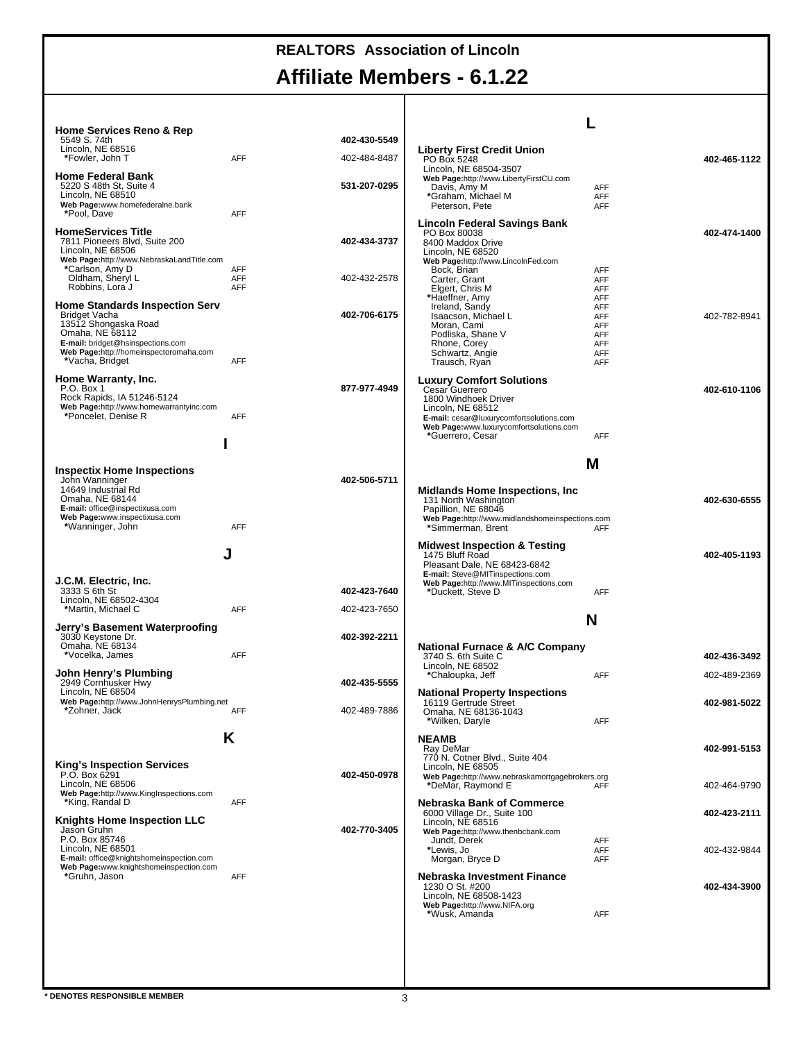# **Affiliate Members - 6.1.22**

| <b>Home Services Reno &amp; Rep</b>                                                |            |              |                                                                            |                          |              |
|------------------------------------------------------------------------------------|------------|--------------|----------------------------------------------------------------------------|--------------------------|--------------|
| 5549 S. 74th<br>Lincoln, NE 68516                                                  |            | 402-430-5549 | <b>Liberty First Credit Union</b>                                          |                          |              |
| *Fowler, John T                                                                    | AFF        | 402-484-8487 | PO Box 5248<br>Lincoln, NE 68504-3507                                      |                          | 402-465-1122 |
| <b>Home Federal Bank</b><br>5220 S 48th St, Suite 4                                |            | 531-207-0295 | Web Page:http://www.LibertyFirstCU.com<br>Davis, Amy M                     | <b>AFF</b>               |              |
| Lincoln, NE 68510<br>Web Page:www.homefederalne.bank                               |            |              | *Graham, Michael M                                                         | <b>AFF</b>               |              |
| *Pool, Dave                                                                        | AFF        |              | Peterson, Pete                                                             | <b>AFF</b>               |              |
| <b>HomeServices Title</b>                                                          |            |              | Lincoln Federal Savings Bank<br>PO Box 80038                               |                          | 402-474-1400 |
| 7811 Pioneers Blvd, Suite 200<br>Lincoln, NE 68506                                 |            | 402-434-3737 | 8400 Maddox Drive<br>Lincoln. NE 68520                                     |                          |              |
| Web Page:http://www.NebraskaLandTitle.com<br>*Carlson, Amy D                       | AFF        |              | Web Page:http://www.LincolnFed.com<br>Bock, Brian                          | <b>AFF</b>               |              |
| Oldham, Sheryl L<br>Robbins, Lora J                                                | AFF<br>AFF | 402-432-2578 | Carter, Grant<br>Elgert, Chris M                                           | <b>AFF</b><br><b>AFF</b> |              |
| <b>Home Standards Inspection Serv</b>                                              |            |              | *Haeffner, Amy<br>Ireland, Sandy                                           | <b>AFF</b><br><b>AFF</b> |              |
| Bridget Vacha<br>13512 Shongaska Road                                              |            | 402-706-6175 | Isaacson, Michael L                                                        | <b>AFF</b>               | 402-782-8941 |
| Omaha, NE 68112                                                                    |            |              | Moran, Cami<br>Podliska, Shane V                                           | <b>AFF</b><br><b>AFF</b> |              |
| E-mail: bridget@hsinspections.com<br>Web Page:http://homeinspectoromaha.com        |            |              | Rhone, Corey<br>Schwartz, Angie                                            | <b>AFF</b><br><b>AFF</b> |              |
| *Vacha, Bridget                                                                    | <b>AFF</b> |              | Trausch, Ryan                                                              | AFF                      |              |
| Home Warranty, Inc.<br>P.O. Box 1                                                  |            | 877-977-4949 | <b>Luxury Comfort Solutions</b><br>Cesar Guerrero                          |                          | 402-610-1106 |
| Rock Rapids, IA 51246-5124<br>Web Page:http://www.homewarrantyinc.com              |            |              | 1800 Windhoek Driver<br>Lincoln. NE 68512                                  |                          |              |
| *Poncelet. Denise R                                                                | <b>AFF</b> |              | E-mail: cesar@luxurycomfortsolutions.com                                   |                          |              |
|                                                                                    |            |              | Web Page:www.luxurycomfortsolutions.com<br>*Guerrero, Cesar                | AFF                      |              |
|                                                                                    |            |              |                                                                            |                          |              |
| <b>Inspectix Home Inspections</b>                                                  |            |              |                                                                            | М                        |              |
| John Wanninger<br>14649 Industrial Rd                                              |            | 402-506-5711 | <b>Midlands Home Inspections, Inc.</b>                                     |                          |              |
| Omaha, NE 68144<br>E-mail: office@inspectixusa.com                                 |            |              | 131 North Washington<br>Papillion, NE 68046                                |                          | 402-630-6555 |
| Web Page:www.inspectixusa.com<br>*Wanninger, John                                  | <b>AFF</b> |              | Web Page:http://www.midlandshomeinspections.com<br>*Simmerman, Brent       | <b>AFF</b>               |              |
|                                                                                    |            |              | <b>Midwest Inspection &amp; Testing</b>                                    |                          |              |
|                                                                                    | J          |              | 1475 Bluff Road<br>Pleasant Dale, NE 68423-6842                            |                          | 402-405-1193 |
| J.C.M. Electric, Inc.                                                              |            |              | E-mail: Steve@MITinspections.com<br>Web Page:http://www.MITinspections.com |                          |              |
| 3333 S 6th St<br>Lincoln, NE 68502-4304                                            |            | 402-423-7640 | *Duckett, Steve D                                                          | AFF                      |              |
| *Martin, Michael C                                                                 | <b>AFF</b> |              |                                                                            |                          |              |
|                                                                                    |            | 402-423-7650 |                                                                            |                          |              |
| Jerry's Basement Waterproofing                                                     |            |              |                                                                            | N                        |              |
| 3030 Keystone Dr.<br>Omaha, NE 68134                                               |            | 402-392-2211 | National Furnace & A/C Company                                             |                          |              |
| *Vocelka, James                                                                    | <b>AFF</b> |              | 3740 S. 6th Suite C<br>Lincoln, NE 68502                                   |                          | 402-436-3492 |
| John Henry's Plumbing<br>2949 Cornhusker Hwy                                       |            | 402-435-5555 | *Chaloupka, Jeff                                                           | <b>AFF</b>               | 402-489-2369 |
| Lincoln, NE 68504<br>Web Page:http://www.JohnHenrysPlumbing.net                    |            |              | <b>National Property Inspections</b>                                       |                          |              |
| *Zohner, Jack                                                                      | AFF        | 402-489-7886 | 16119 Gertrude Street<br>Omaha, NE 68136-1043                              |                          | 402-981-5022 |
|                                                                                    |            |              | *Wilken, Daryle                                                            | AFF                      |              |
|                                                                                    | K          |              | <b>NEAMB</b><br>Ray DeMar                                                  |                          | 402-991-5153 |
| <b>King's Inspection Services</b>                                                  |            |              | 770 N. Cotner Blvd., Suite 404<br>Lincoln, NE 68505                        |                          |              |
| P.O. Box 6291<br>Lincoln, NE 68506                                                 |            | 402-450-0978 | Web Page:http://www.nebraskamortgagebrokers.org<br>*DeMar, Raymond E       | <b>AFF</b>               | 402-464-9790 |
| Web Page:http://www.KingInspections.com<br>*King, Randal D                         | <b>AFF</b> |              | <b>Nebraska Bank of Commerce</b>                                           |                          |              |
| <b>Knights Home Inspection LLC</b>                                                 |            |              | 6000 Village Dr., Suite 100                                                |                          | 402-423-2111 |
| Jason Gruhn<br>P.O. Box 85746                                                      |            | 402-770-3405 | Lincoln, NE 68516<br>Web Page:http://www.thenbcbank.com                    |                          |              |
| Lincoln, NE 68501                                                                  |            |              | Jundt, Derek<br>*Lewis, Jo                                                 | AFF<br><b>AFF</b>        | 402-432-9844 |
| E-mail: office@knightshomeinspection.com<br>Web Page:www.knightshomeinspection.com |            |              | Morgan, Bryce D                                                            | AFF                      |              |
| *Gruhn, Jason                                                                      | <b>AFF</b> |              | Nebraska Investment Finance<br>1230 O St. #200                             |                          | 402-434-3900 |
|                                                                                    |            |              | Lincoln, NE 68508-1423<br>Web Page:http://www.NIFA.org                     |                          |              |
|                                                                                    |            |              | *Wusk, Amanda                                                              | AFF                      |              |
|                                                                                    |            |              |                                                                            |                          |              |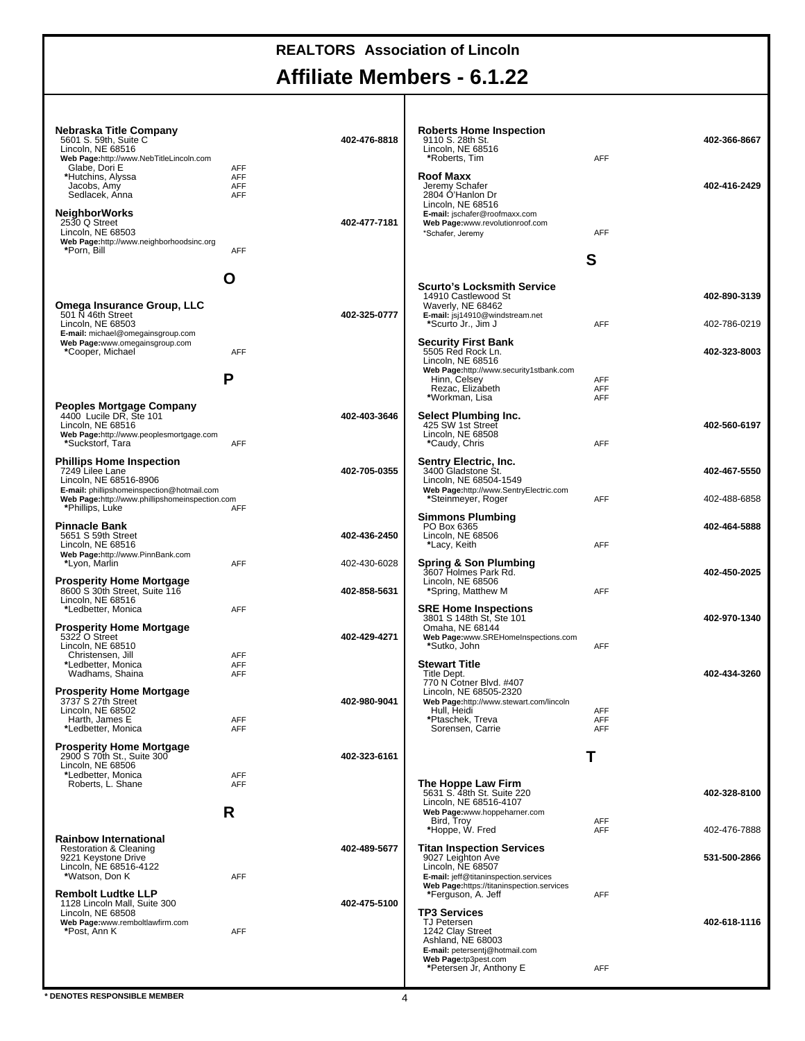### **Affiliate Members - 6.1.22** т

| Nebraska Title Company<br>5601 S. 59th, Suite C.<br>Lincoln, NE 68516<br>Web Page:http://www.NebTitleLincoln.com           |                                        | 402-476-8818 | Roberts Home Inspection<br>9110 S. 28th St.<br>Lincoln. NE 68516<br>*Roberts, Tim                                            | <b>AFF</b>                      | 402-366-8667                 |
|----------------------------------------------------------------------------------------------------------------------------|----------------------------------------|--------------|------------------------------------------------------------------------------------------------------------------------------|---------------------------------|------------------------------|
| Glabe, Dori E<br>*Hutchins, Alyssa<br>Jacobs, Amy<br>Sedlacek, Anna                                                        | <b>AFF</b><br>AFF<br>AFF<br><b>AFF</b> |              | Roof Maxx<br>Jeremy Schafer<br>2804 O'Hanlon Dr<br>Lincoln, NE 68516                                                         |                                 | 402-416-2429                 |
| <b>NeighborWorks</b><br>2530 Q Street<br>Lincoln, NE 68503<br>Web Page:http://www.neighborhoodsinc.org                     |                                        | 402-477-7181 | E-mail: jschafer@roofmaxx.com<br>Web Page:www.revolutionroof.com<br>*Schafer, Jeremy                                         | <b>AFF</b>                      |                              |
| *Porn, Bill                                                                                                                | <b>AFF</b>                             |              |                                                                                                                              | S                               |                              |
|                                                                                                                            | O                                      |              | <b>Scurto's Locksmith Service</b>                                                                                            |                                 |                              |
| Omega Insurance Group, LLC<br>501 $\bar{N}$ 46th Street<br>Lincoln, NE 68503                                               |                                        | 402-325-0777 | 14910 Castlewood St<br>Waverly, NE 68462<br>E-mail: jsj14910@windstream.net<br>*Scurto Jr., Jim J                            | AFF                             | 402-890-3139<br>402-786-0219 |
| E-mail: michael@omegainsgroup.com<br>Web Page:www.omegainsgroup.com<br>*Cooper, Michael                                    | <b>AFF</b>                             |              | <b>Security First Bank</b><br>5505 Red Rock Ln.<br>Lincoln. NE 68516                                                         |                                 | 402-323-8003                 |
|                                                                                                                            | P                                      |              | Web Page:http://www.security1stbank.com<br>Hinn, Celsey<br>Rezac, Elizabeth<br>*Workman, Lisa                                | AFF<br><b>AFF</b><br><b>AFF</b> |                              |
| <b>Peoples Mortgage Company</b><br>4400 Lucile DR, Ste 101<br>Lincoln, NE 68516<br>Web Page:http://www.peoplesmortgage.com |                                        | 402-403-3646 | Select Plumbing Inc.<br>425 SW 1st Street<br>Lincoln. NE 68508                                                               |                                 | 402-560-6197                 |
| *Suckstorf, Tara<br><b>Phillips Home Inspection</b>                                                                        | AFF                                    |              | *Caudy, Chris<br>Sentry Electric, Inc.                                                                                       | <b>AFF</b>                      |                              |
| 7249 Lilee Lane<br>Lincoln, NE 68516-8906<br>E-mail: phillipshomeinspection@hotmail.com                                    |                                        | 402-705-0355 | 3400 Gladstone St.<br>Lincoln, NE 68504-1549<br>Web Page:http://www.SentryElectric.com                                       |                                 | 402-467-5550                 |
| Web Page:http://www.phillipshomeinspection.com<br>*Phillips, Luke                                                          | <b>AFF</b>                             |              | *Steinmeyer, Roger<br><b>Simmons Plumbing</b>                                                                                | <b>AFF</b>                      | 402-488-6858                 |
| <b>Pinnacle Bank</b><br>5651 S 59th Street<br>Lincoln, NE 68516                                                            |                                        | 402-436-2450 | PO Box 6365<br>Lincoln, NE 68506<br>*Lacy, Keith                                                                             | <b>AFF</b>                      | 402-464-5888                 |
| Web Page:http://www.PinnBank.com<br>*Lyon, Marlin                                                                          | AFF                                    | 402-430-6028 | Spring & Son Plumbing<br>3607 Holmes Park Rd.                                                                                |                                 | 402-450-2025                 |
| <b>Prosperity Home Mortgage</b><br>8600 S 30th Street, Suite 116<br>Lincoln, NE 68516                                      |                                        | 402-858-5631 | Lincoln, NE 68506<br>*Spring, Matthew M                                                                                      | AFF                             |                              |
| *Ledbetter, Monica<br><b>Prosperity Home Mortgage</b><br>5322 O Street                                                     | <b>AFF</b>                             | 402-429-4271 | <b>SRE Home Inspections</b><br>3801 S 148th St, Ste 101<br>Omaha, NE 68144<br>Web Page:www.SREHomeInspections.com            |                                 | 402-970-1340                 |
| Lincoln, NE 68510<br>Christensen, Jill                                                                                     | AFF                                    |              | *Sutko, John                                                                                                                 | <b>AFF</b>                      |                              |
| *Ledbetter, Monica<br>Wadhams, Shaina                                                                                      | <b>AFF</b><br>AFF                      |              | <b>Stewart Title</b><br>Title Dept.<br>770 N Cotner Blvd. #407                                                               |                                 | 402-434-3260                 |
| <b>Prosperity Home Mortgage</b><br>3737 S 27th Street<br>Lincoln, NE 68502                                                 |                                        | 402-980-9041 | Lincoln, NE 68505-2320<br>Web Page:http://www.stewart.com/lincoln<br>Hull, Heidi                                             | AFF                             |                              |
| Harth, James E<br>*Ledbetter, Monica                                                                                       | <b>AFF</b><br><b>AFF</b>               |              | *Ptaschek, Treva<br>Sorensen, Carrie                                                                                         | <b>AFF</b><br>AFF               |                              |
| <b>Prosperity Home Mortgage</b><br>2900 S 70th St., Suite 300<br>Lincoln, NE 68506                                         |                                        | 402-323-6161 |                                                                                                                              | Τ                               |                              |
| *Ledbetter, Monica<br>Roberts, L. Shane                                                                                    | AFF<br><b>AFF</b>                      |              | The Hoppe Law Firm<br>5631 S. 48th St. Suite 220                                                                             |                                 | 402-328-8100                 |
|                                                                                                                            | R                                      |              | Lincoln, NE 68516-4107<br>Web Page:www.hoppeharner.com<br>Bird, Troy<br>*Hoppe, W. Fred                                      | <b>AFF</b><br><b>AFF</b>        | 402-476-7888                 |
| <b>Rainbow International</b><br>Restoration & Cleaning                                                                     |                                        | 402-489-5677 | <b>Titan Inspection Services</b>                                                                                             |                                 |                              |
| 9221 Keystone Drive<br>Lincoln, NE 68516-4122<br>*Watson, Don K                                                            | AFF                                    |              | 9027 Leighton Ave<br>Lincoln, NE 68507<br>E-mail: jeff@titaninspection.services<br>Web Page:https://titaninspection.services |                                 | 531-500-2866                 |
| <b>Rembolt Ludtke LLP</b><br>1128 Lincoln Mall, Suite 300                                                                  |                                        | 402-475-5100 | *Ferguson, A. Jeff                                                                                                           | <b>AFF</b>                      |                              |
| Lincoln, NE 68508<br>Web Page:www.remboltlawfirm.com<br>*Post, Ann K                                                       | AFF                                    |              | TP3 Services<br><b>TJ Petersen</b><br>1242 Clay Street<br>Ashland, NE 68003<br>E-mail: petersentj@hotmail.com                |                                 | 402-618-1116                 |
|                                                                                                                            |                                        |              | Web Page:tp3pest.com<br>*Petersen Jr, Anthony E                                                                              | <b>AFF</b>                      |                              |